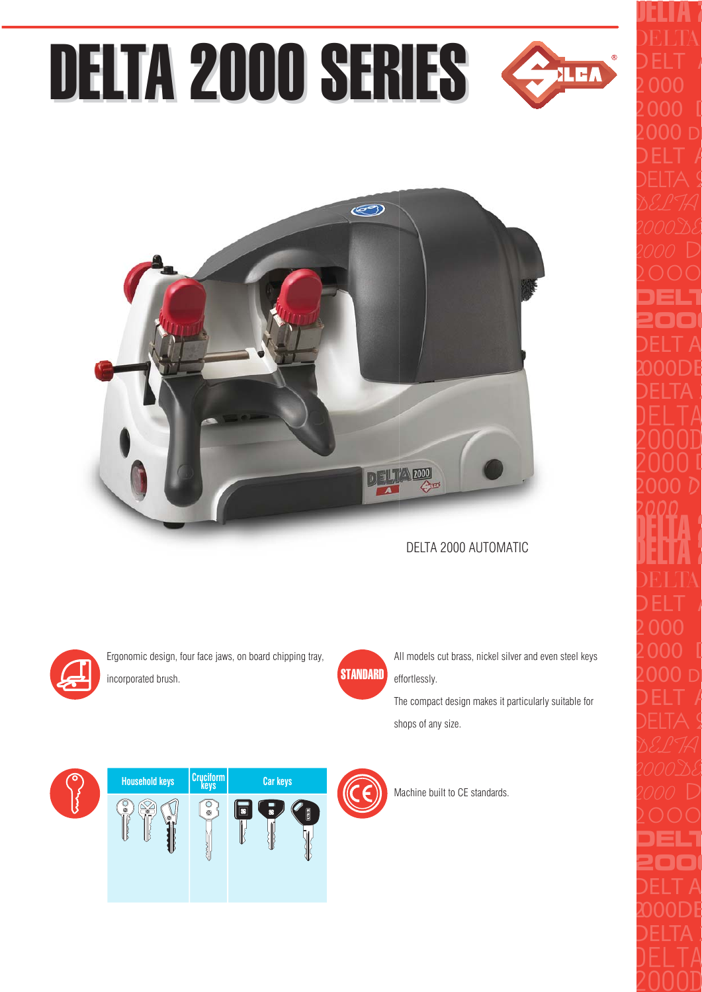## DELTA 2000 SERIES



## DELTA 2000 AUTOMATIC



Ergonomic design, four face jaws, on board chipping tray, incorporated brush.



All models cut brass, nickel silver and even steel keys effortlessly.

The compact design makes it particularly suitable for shops of any size.





Machine built to CE standards.

**XLEA**